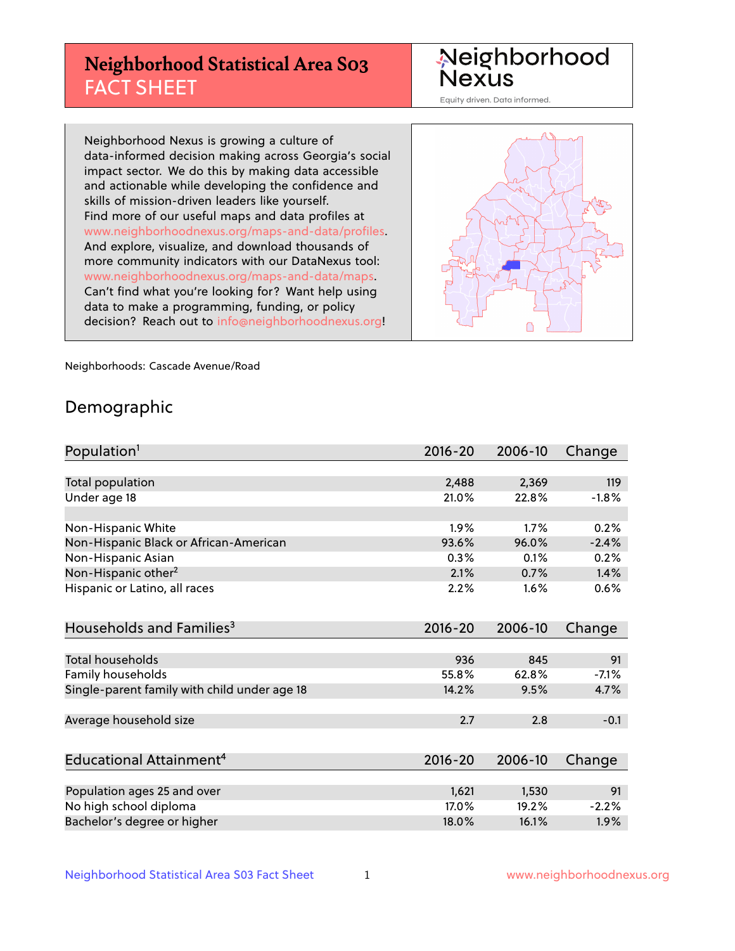# **Neighborhood Statistical Area S03** FACT SHEET

Neighborhood Nexus

Equity driven. Data informed.

Neighborhood Nexus is growing a culture of data-informed decision making across Georgia's social impact sector. We do this by making data accessible and actionable while developing the confidence and skills of mission-driven leaders like yourself. Find more of our useful maps and data profiles at www.neighborhoodnexus.org/maps-and-data/profiles. And explore, visualize, and download thousands of more community indicators with our DataNexus tool: www.neighborhoodnexus.org/maps-and-data/maps. Can't find what you're looking for? Want help using data to make a programming, funding, or policy decision? Reach out to [info@neighborhoodnexus.org!](mailto:info@neighborhoodnexus.org)



Neighborhoods: Cascade Avenue/Road

### Demographic

| Population <sup>1</sup>                      | $2016 - 20$ | 2006-10 | Change  |
|----------------------------------------------|-------------|---------|---------|
|                                              |             |         |         |
| Total population                             | 2,488       | 2,369   | 119     |
| Under age 18                                 | 21.0%       | 22.8%   | $-1.8%$ |
|                                              |             |         |         |
| Non-Hispanic White                           | 1.9%        | 1.7%    | 0.2%    |
| Non-Hispanic Black or African-American       | 93.6%       | 96.0%   | $-2.4%$ |
| Non-Hispanic Asian                           | 0.3%        | 0.1%    | 0.2%    |
| Non-Hispanic other <sup>2</sup>              | 2.1%        | 0.7%    | 1.4%    |
| Hispanic or Latino, all races                | 2.2%        | 1.6%    | 0.6%    |
|                                              |             |         |         |
| Households and Families <sup>3</sup>         | $2016 - 20$ | 2006-10 | Change  |
|                                              |             |         |         |
| Total households                             | 936         | 845     | 91      |
| Family households                            | 55.8%       | 62.8%   | $-7.1%$ |
| Single-parent family with child under age 18 | 14.2%       | 9.5%    | 4.7%    |
|                                              |             |         |         |
| Average household size                       | 2.7         | 2.8     | $-0.1$  |
|                                              |             |         |         |
| Educational Attainment <sup>4</sup>          | $2016 - 20$ | 2006-10 | Change  |
|                                              |             |         |         |
| Population ages 25 and over                  | 1,621       | 1,530   | 91      |
| No high school diploma                       | 17.0%       | 19.2%   | $-2.2%$ |
| Bachelor's degree or higher                  | 18.0%       | 16.1%   | 1.9%    |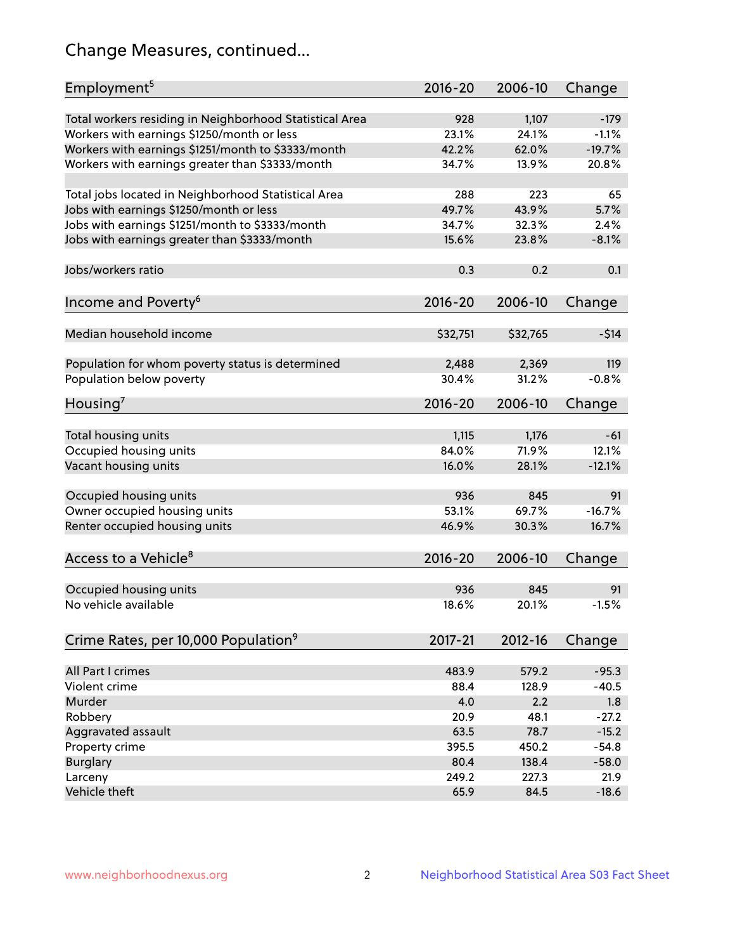# Change Measures, continued...

| Employment <sup>5</sup>                                 | $2016 - 20$ | 2006-10  | Change   |
|---------------------------------------------------------|-------------|----------|----------|
|                                                         |             |          |          |
| Total workers residing in Neighborhood Statistical Area | 928         | 1,107    | $-179$   |
| Workers with earnings \$1250/month or less              | 23.1%       | 24.1%    | $-1.1%$  |
| Workers with earnings \$1251/month to \$3333/month      | 42.2%       | 62.0%    | $-19.7%$ |
| Workers with earnings greater than \$3333/month         | 34.7%       | 13.9%    | 20.8%    |
| Total jobs located in Neighborhood Statistical Area     | 288         | 223      | 65       |
| Jobs with earnings \$1250/month or less                 | 49.7%       | 43.9%    | 5.7%     |
| Jobs with earnings \$1251/month to \$3333/month         | 34.7%       | 32.3%    | 2.4%     |
| Jobs with earnings greater than \$3333/month            | 15.6%       | 23.8%    | $-8.1%$  |
|                                                         |             |          |          |
| Jobs/workers ratio                                      | 0.3         | 0.2      | 0.1      |
|                                                         |             |          |          |
| Income and Poverty <sup>6</sup>                         | 2016-20     | 2006-10  | Change   |
| Median household income                                 | \$32,751    | \$32,765 | $-514$   |
|                                                         |             |          |          |
| Population for whom poverty status is determined        | 2,488       | 2,369    | 119      |
| Population below poverty                                | 30.4%       | 31.2%    | $-0.8%$  |
| Housing'                                                | 2016-20     | 2006-10  | Change   |
|                                                         |             |          |          |
| Total housing units                                     | 1,115       | 1,176    | $-61$    |
| Occupied housing units                                  | 84.0%       | 71.9%    | 12.1%    |
| Vacant housing units                                    | 16.0%       | 28.1%    | $-12.1%$ |
|                                                         |             |          |          |
| Occupied housing units                                  | 936         | 845      | 91       |
| Owner occupied housing units                            | 53.1%       | 69.7%    | $-16.7%$ |
| Renter occupied housing units                           | 46.9%       | 30.3%    | 16.7%    |
|                                                         |             |          |          |
| Access to a Vehicle <sup>8</sup>                        | $2016 - 20$ | 2006-10  | Change   |
|                                                         |             |          |          |
| Occupied housing units                                  | 936         | 845      | 91       |
| No vehicle available                                    | 18.6%       | 20.1%    | $-1.5%$  |
| Crime Rates, per 10,000 Population <sup>9</sup>         | 2017-21     | 2012-16  | Change   |
|                                                         |             |          |          |
| All Part I crimes                                       | 483.9       | 579.2    | $-95.3$  |
| Violent crime                                           | 88.4        | 128.9    | $-40.5$  |
| Murder                                                  | 4.0         | 2.2      | 1.8      |
| Robbery                                                 | 20.9        | 48.1     | $-27.2$  |
| Aggravated assault                                      | 63.5        | 78.7     | $-15.2$  |
| Property crime                                          | 395.5       | 450.2    | $-54.8$  |
| <b>Burglary</b>                                         | 80.4        | 138.4    | $-58.0$  |
| Larceny                                                 | 249.2       | 227.3    | 21.9     |
| Vehicle theft                                           | 65.9        | 84.5     | $-18.6$  |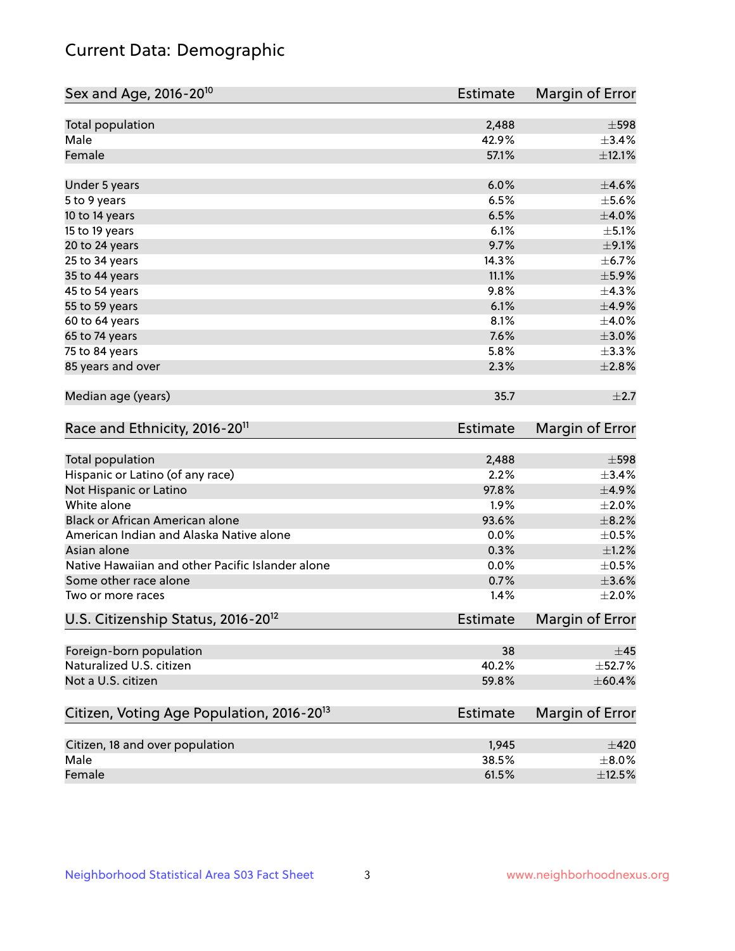# Current Data: Demographic

| Sex and Age, 2016-20 <sup>10</sup>                    | <b>Estimate</b> | Margin of Error |
|-------------------------------------------------------|-----------------|-----------------|
| Total population                                      | 2,488           | $\pm$ 598       |
| Male                                                  | 42.9%           | $\pm$ 3.4%      |
| Female                                                | 57.1%           | $\pm$ 12.1%     |
| Under 5 years                                         | 6.0%            | $\pm$ 4.6%      |
| 5 to 9 years                                          | 6.5%            | $\pm$ 5.6%      |
| 10 to 14 years                                        | 6.5%            | $\pm 4.0\%$     |
| 15 to 19 years                                        | 6.1%            | $\pm$ 5.1%      |
| 20 to 24 years                                        | 9.7%            | $\pm$ 9.1%      |
| 25 to 34 years                                        | 14.3%           | $\pm$ 6.7%      |
| 35 to 44 years                                        | 11.1%           | $\pm$ 5.9%      |
| 45 to 54 years                                        | 9.8%            | ±4.3%           |
| 55 to 59 years                                        | 6.1%            | ±4.9%           |
| 60 to 64 years                                        | 8.1%            | $\pm$ 4.0%      |
| 65 to 74 years                                        | 7.6%            | $\pm 3.0\%$     |
| 75 to 84 years                                        | 5.8%            | ±3.3%           |
| 85 years and over                                     | 2.3%            | $\pm 2.8\%$     |
| Median age (years)                                    | 35.7            | $\pm 2.7$       |
| Race and Ethnicity, 2016-20 <sup>11</sup>             | <b>Estimate</b> | Margin of Error |
| Total population                                      | 2,488           | $\pm$ 598       |
| Hispanic or Latino (of any race)                      | 2.2%            | ±3.4%           |
| Not Hispanic or Latino                                | 97.8%           | ±4.9%           |
| White alone                                           | 1.9%            | $\pm 2.0\%$     |
| Black or African American alone                       | 93.6%           | $\pm$ 8.2%      |
| American Indian and Alaska Native alone               | 0.0%            | $\pm$ 0.5%      |
| Asian alone                                           | 0.3%            | $\pm 1.2\%$     |
| Native Hawaiian and other Pacific Islander alone      | 0.0%            | $\pm$ 0.5%      |
| Some other race alone                                 | 0.7%            | $\pm 3.6\%$     |
| Two or more races                                     | 1.4%            | $\pm 2.0\%$     |
| U.S. Citizenship Status, 2016-20 <sup>12</sup>        | Estimate        | Margin of Error |
| Foreign-born population                               | 38              | ±45             |
| Naturalized U.S. citizen                              | 40.2%           | ±52.7%          |
| Not a U.S. citizen                                    | 59.8%           | $\pm$ 60.4%     |
| Citizen, Voting Age Population, 2016-20 <sup>13</sup> | <b>Estimate</b> | Margin of Error |
| Citizen, 18 and over population                       | 1,945           | $\pm 420$       |
| Male                                                  | 38.5%           | $\pm 8.0\%$     |
| Female                                                | 61.5%           | $\pm$ 12.5%     |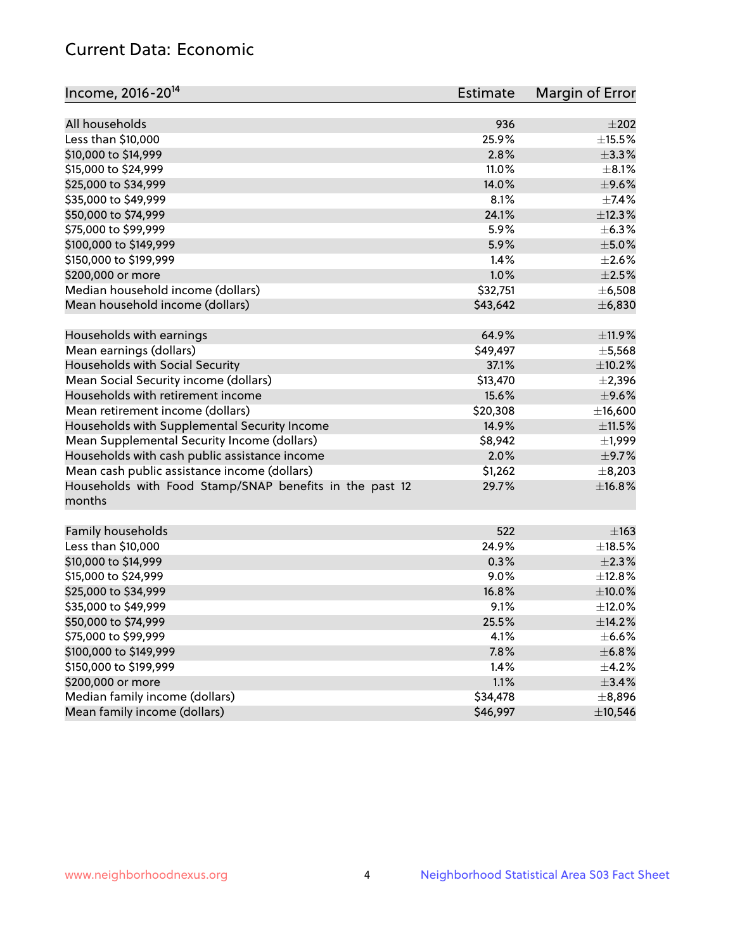# Current Data: Economic

| Income, 2016-20 <sup>14</sup>                                     | Estimate | Margin of Error |
|-------------------------------------------------------------------|----------|-----------------|
|                                                                   |          |                 |
| All households                                                    | 936      | $\pm 202$       |
| Less than \$10,000                                                | 25.9%    | $\pm$ 15.5%     |
| \$10,000 to \$14,999                                              | 2.8%     | $\pm$ 3.3%      |
| \$15,000 to \$24,999                                              | 11.0%    | $\pm$ 8.1%      |
| \$25,000 to \$34,999                                              | 14.0%    | $\pm$ 9.6%      |
| \$35,000 to \$49,999                                              | 8.1%     | $\pm$ 7.4%      |
| \$50,000 to \$74,999                                              | 24.1%    | ±12.3%          |
| \$75,000 to \$99,999                                              | 5.9%     | $\pm$ 6.3%      |
| \$100,000 to \$149,999                                            | 5.9%     | $\pm$ 5.0%      |
| \$150,000 to \$199,999                                            | 1.4%     | $\pm 2.6\%$     |
| \$200,000 or more                                                 | 1.0%     | $\pm 2.5\%$     |
| Median household income (dollars)                                 | \$32,751 | $\pm$ 6,508     |
| Mean household income (dollars)                                   | \$43,642 | ± 6,830         |
| Households with earnings                                          | 64.9%    | $\pm$ 11.9%     |
| Mean earnings (dollars)                                           | \$49,497 | $\pm$ 5,568     |
| Households with Social Security                                   | 37.1%    | $\pm$ 10.2%     |
| Mean Social Security income (dollars)                             | \$13,470 | $\pm 2,396$     |
| Households with retirement income                                 | 15.6%    | $\pm$ 9.6%      |
| Mean retirement income (dollars)                                  | \$20,308 | ±16,600         |
| Households with Supplemental Security Income                      | 14.9%    | $\pm$ 11.5%     |
| Mean Supplemental Security Income (dollars)                       | \$8,942  | $\pm$ 1,999     |
| Households with cash public assistance income                     | 2.0%     | $\pm$ 9.7%      |
| Mean cash public assistance income (dollars)                      | \$1,262  | $\pm$ 8,203     |
|                                                                   | 29.7%    | ±16.8%          |
| Households with Food Stamp/SNAP benefits in the past 12<br>months |          |                 |
| Family households                                                 | 522      | $\pm 163$       |
| Less than \$10,000                                                | 24.9%    | $\pm$ 18.5%     |
| \$10,000 to \$14,999                                              | 0.3%     | $\pm 2.3\%$     |
| \$15,000 to \$24,999                                              | 9.0%     | ±12.8%          |
| \$25,000 to \$34,999                                              | 16.8%    | $\pm$ 10.0%     |
| \$35,000 to \$49,999                                              | 9.1%     | $\pm$ 12.0%     |
| \$50,000 to \$74,999                                              | 25.5%    | ±14.2%          |
| \$75,000 to \$99,999                                              | 4.1%     | $\pm$ 6.6%      |
| \$100,000 to \$149,999                                            | 7.8%     | ±6.8%           |
| \$150,000 to \$199,999                                            | 1.4%     | $\pm$ 4.2%      |
| \$200,000 or more                                                 | 1.1%     | $\pm$ 3.4%      |
| Median family income (dollars)                                    | \$34,478 | ±8,896          |
| Mean family income (dollars)                                      | \$46,997 | ±10,546         |
|                                                                   |          |                 |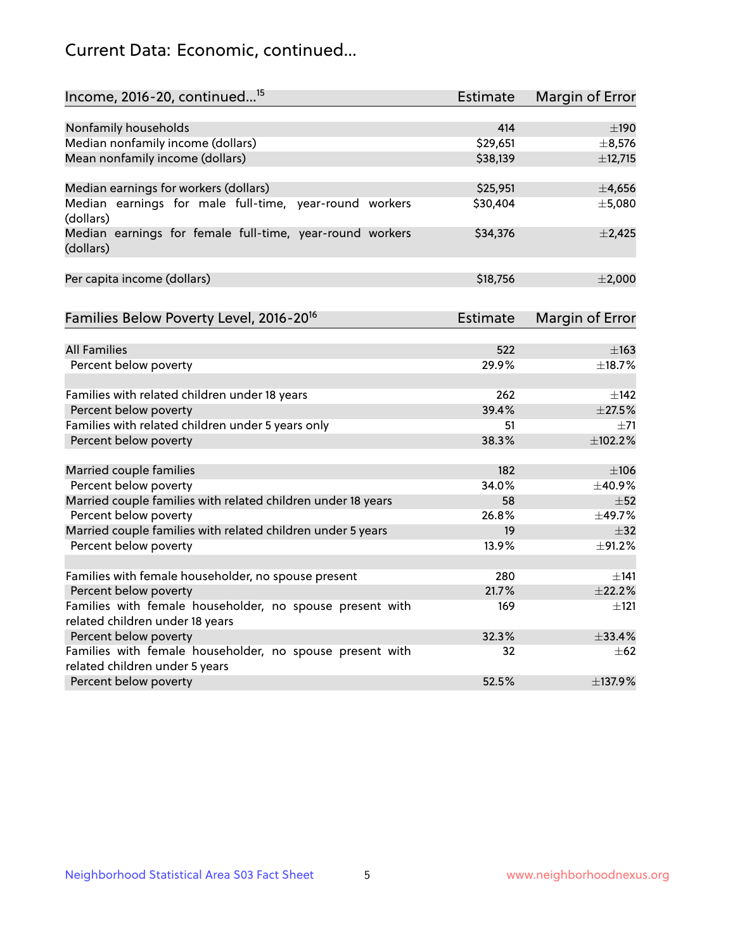# Current Data: Economic, continued...

| Income, 2016-20, continued <sup>15</sup>                              | <b>Estimate</b> | <b>Margin of Error</b> |
|-----------------------------------------------------------------------|-----------------|------------------------|
|                                                                       | 414             | $\pm 190$              |
| Nonfamily households<br>Median nonfamily income (dollars)             | \$29,651        | ±8,576                 |
| Mean nonfamily income (dollars)                                       | \$38,139        | ±12,715                |
|                                                                       |                 |                        |
| Median earnings for workers (dollars)                                 | \$25,951        | ±4,656                 |
| Median earnings for male full-time, year-round workers<br>(dollars)   | \$30,404        | ±5,080                 |
| Median earnings for female full-time, year-round workers<br>(dollars) | \$34,376        | $\pm$ 2,425            |
| Per capita income (dollars)                                           | \$18,756        | ±2,000                 |
| Families Below Poverty Level, 2016-20 <sup>16</sup>                   | <b>Estimate</b> | <b>Margin of Error</b> |
|                                                                       |                 |                        |
| <b>All Families</b>                                                   | 522             | $\pm$ 163              |
| Percent below poverty                                                 | 29.9%           | ±18.7%                 |
| Families with related children under 18 years                         | 262             | $\pm$ 142              |
| Percent below poverty                                                 | 39.4%           | $\pm 27.5\%$           |
| Families with related children under 5 years only                     | 51              | $+71$                  |
| Percent below poverty                                                 | 38.3%           | ±102.2%                |
| Married couple families                                               | 182             | $\pm 106$              |
| Percent below poverty                                                 | 34.0%           | ±40.9%                 |
| Married couple families with related children under 18 years          | 58              | $\pm 52$               |
| Percent below poverty                                                 | 26.8%           | ±49.7%                 |
| Married couple families with related children under 5 years           | 19              | $\pm$ 32               |
| Percent below poverty                                                 | 13.9%           | ±91.2%                 |
| Families with female householder, no spouse present                   | 280             | ±141                   |
| Percent below poverty                                                 | 21.7%           | ±22.2%                 |
| Families with female householder, no spouse present with              | 169             | $\pm$ 121              |
| related children under 18 years                                       |                 |                        |
| Percent below poverty                                                 | 32.3%           | $+33.4%$               |
| Families with female householder, no spouse present with              | 32              | $\pm 62$               |
| related children under 5 years                                        |                 |                        |
| Percent below poverty                                                 | 52.5%           | ±137.9%                |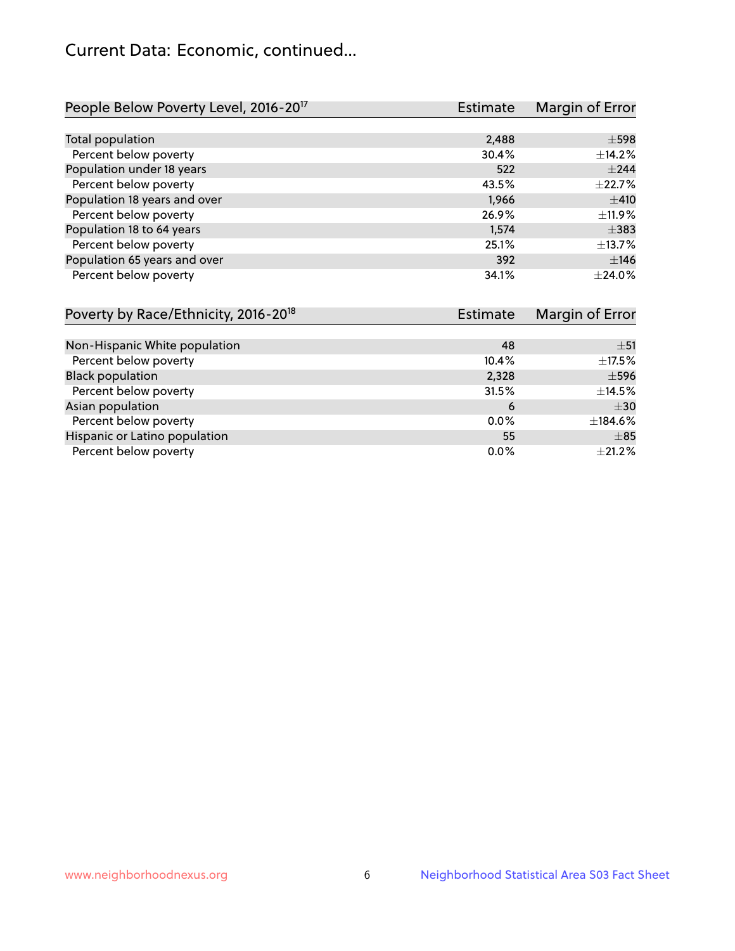# Current Data: Economic, continued...

| People Below Poverty Level, 2016-20 <sup>17</sup> | <b>Estimate</b> | Margin of Error |
|---------------------------------------------------|-----------------|-----------------|
|                                                   |                 |                 |
| Total population                                  | 2,488           | $\pm$ 598       |
| Percent below poverty                             | 30.4%           | ±14.2%          |
| Population under 18 years                         | 522             | $\pm 244$       |
| Percent below poverty                             | 43.5%           | ±22.7%          |
| Population 18 years and over                      | 1,966           | ±410            |
| Percent below poverty                             | 26.9%           | ±11.9%          |
| Population 18 to 64 years                         | 1,574           | $\pm$ 383       |
| Percent below poverty                             | 25.1%           | ±13.7%          |
| Population 65 years and over                      | 392             | ±146            |
| Percent below poverty                             | 34.1%           | ±24.0%          |

| Poverty by Race/Ethnicity, 2016-20 <sup>18</sup> | Estimate |             |
|--------------------------------------------------|----------|-------------|
|                                                  |          |             |
| Non-Hispanic White population                    | 48       | ±51         |
| Percent below poverty                            | 10.4%    | $\pm$ 17.5% |
| <b>Black population</b>                          | 2,328    | $\pm$ 596   |
| Percent below poverty                            | 31.5%    | $\pm$ 14.5% |
| Asian population                                 | 6        | $\pm$ 30    |
| Percent below poverty                            | $0.0\%$  | ±184.6%     |
| Hispanic or Latino population                    | 55       | $\pm$ 85    |
| Percent below poverty                            | $0.0\%$  | ±21.2%      |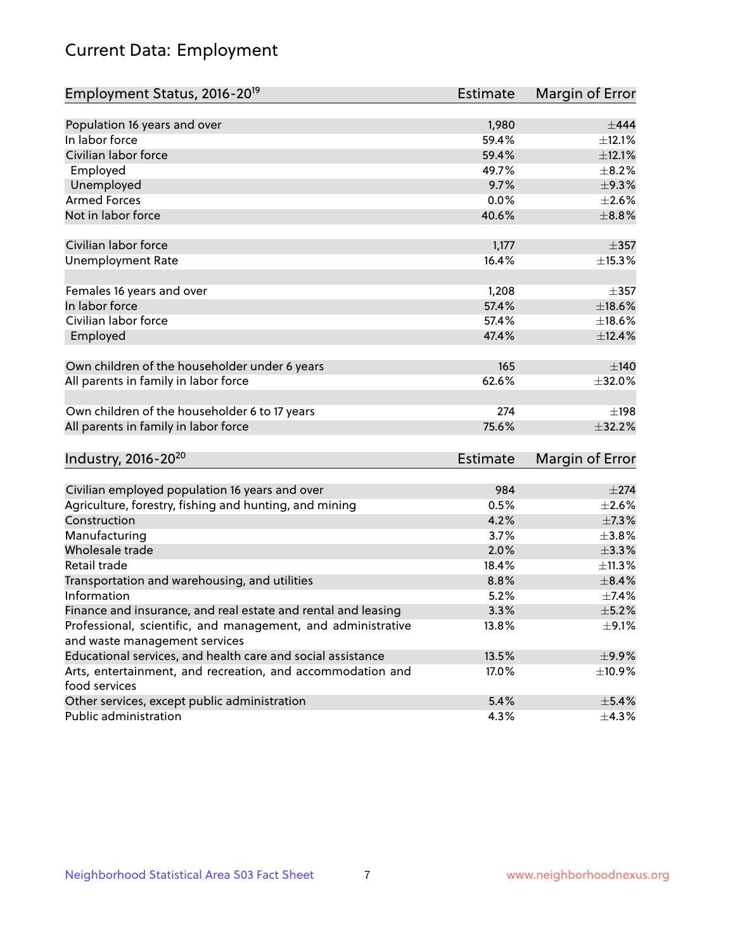# Current Data: Employment

| Employment Status, 2016-20 <sup>19</sup>                                    | <b>Estimate</b> | Margin of Error |
|-----------------------------------------------------------------------------|-----------------|-----------------|
|                                                                             |                 |                 |
| Population 16 years and over                                                | 1,980           | $\pm$ 444       |
| In labor force                                                              | 59.4%           | ±12.1%          |
| Civilian labor force                                                        | 59.4%           | ±12.1%          |
| Employed                                                                    | 49.7%           | $\pm$ 8.2%      |
| Unemployed                                                                  | 9.7%            | ±9.3%           |
| <b>Armed Forces</b>                                                         | 0.0%            | $\pm 2.6\%$     |
| Not in labor force                                                          | 40.6%           | $\pm$ 8.8%      |
| Civilian labor force                                                        | 1,177           | $\pm$ 357       |
| <b>Unemployment Rate</b>                                                    | 16.4%           | ±15.3%          |
| Females 16 years and over                                                   | 1,208           | $\pm$ 357       |
| In labor force                                                              | 57.4%           | $\pm$ 18.6%     |
| Civilian labor force                                                        | 57.4%           | $\pm$ 18.6%     |
| Employed                                                                    | 47.4%           | ±12.4%          |
| Own children of the householder under 6 years                               | 165             | $\pm 140$       |
| All parents in family in labor force                                        | 62.6%           | ±32.0%          |
|                                                                             |                 |                 |
| Own children of the householder 6 to 17 years                               | 274             | ±198            |
| All parents in family in labor force                                        | 75.6%           | ±32.2%          |
| Industry, 2016-20 <sup>20</sup>                                             | Estimate        | Margin of Error |
|                                                                             |                 |                 |
| Civilian employed population 16 years and over                              | 984             | $\pm 274$       |
| Agriculture, forestry, fishing and hunting, and mining                      | 0.5%            | $\pm 2.6\%$     |
| Construction                                                                | 4.2%            | $\pm$ 7.3%      |
| Manufacturing                                                               | 3.7%            | ±3.8%           |
| Wholesale trade                                                             | 2.0%            | $\pm$ 3.3%      |
| Retail trade                                                                | 18.4%           | ±11.3%          |
| Transportation and warehousing, and utilities                               | 8.8%            | $\pm$ 8.4%      |
| Information                                                                 | 5.2%            | $\pm$ 7.4%      |
| Finance and insurance, and real estate and rental and leasing               | 3.3%            | $\pm$ 5.2%      |
| Professional, scientific, and management, and administrative                | 13.8%           | $\pm$ 9.1%      |
| and waste management services                                               |                 |                 |
| Educational services, and health care and social assistance                 | 13.5%           | $\pm$ 9.9%      |
| Arts, entertainment, and recreation, and accommodation and<br>food services | 17.0%           | ±10.9%          |
| Other services, except public administration                                | 5.4%            | $\pm$ 5.4%      |
| Public administration                                                       | 4.3%            | $\pm$ 4.3%      |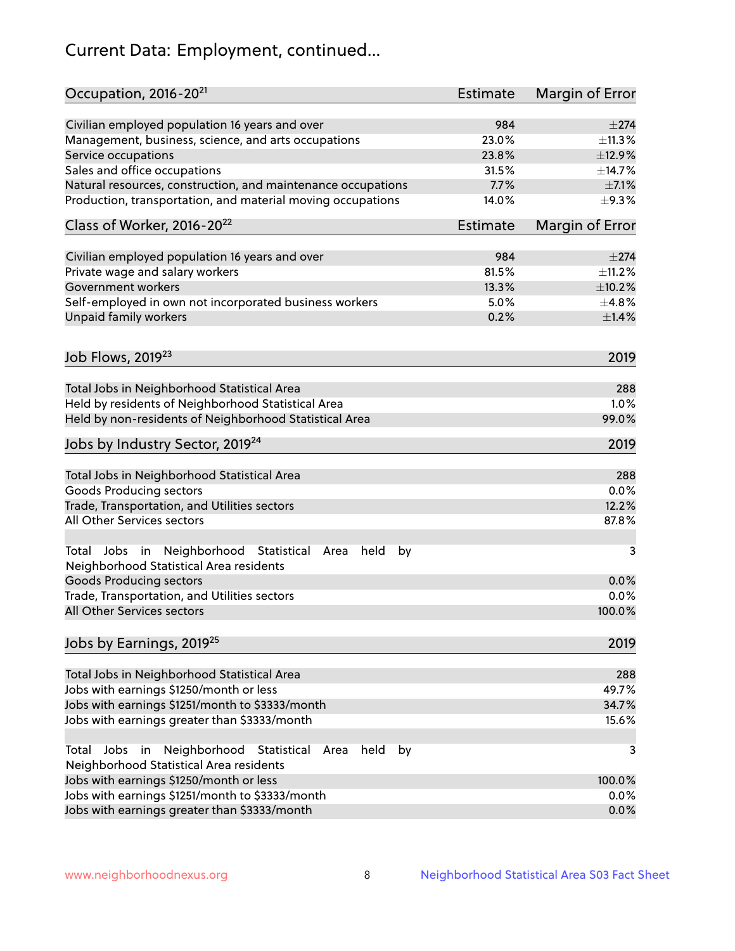# Current Data: Employment, continued...

| Occupation, 2016-20 <sup>21</sup>                                                                       | Estimate        | Margin of Error |
|---------------------------------------------------------------------------------------------------------|-----------------|-----------------|
| Civilian employed population 16 years and over                                                          | 984             | $\pm 274$       |
| Management, business, science, and arts occupations                                                     | 23.0%           | ±11.3%          |
| Service occupations                                                                                     | 23.8%           | ±12.9%          |
| Sales and office occupations                                                                            | 31.5%           | ±14.7%          |
| Natural resources, construction, and maintenance occupations                                            | 7.7%            | $\pm$ 7.1%      |
| Production, transportation, and material moving occupations                                             | 14.0%           | $\pm$ 9.3%      |
| Class of Worker, 2016-20 <sup>22</sup>                                                                  | <b>Estimate</b> | Margin of Error |
| Civilian employed population 16 years and over                                                          | 984             | $+274$          |
| Private wage and salary workers                                                                         | 81.5%           | ±11.2%          |
| Government workers                                                                                      | 13.3%           | ±10.2%          |
|                                                                                                         | 5.0%            | ±4.8%           |
| Self-employed in own not incorporated business workers<br>Unpaid family workers                         | 0.2%            | $\pm1.4\%$      |
|                                                                                                         |                 |                 |
| Job Flows, 2019 <sup>23</sup>                                                                           |                 | 2019            |
| Total Jobs in Neighborhood Statistical Area                                                             |                 | 288             |
| Held by residents of Neighborhood Statistical Area                                                      |                 | 1.0%            |
| Held by non-residents of Neighborhood Statistical Area                                                  |                 | 99.0%           |
| Jobs by Industry Sector, 2019 <sup>24</sup>                                                             |                 | 2019            |
| Total Jobs in Neighborhood Statistical Area                                                             |                 | 288             |
| <b>Goods Producing sectors</b>                                                                          |                 | 0.0%            |
| Trade, Transportation, and Utilities sectors                                                            |                 | 12.2%           |
| All Other Services sectors                                                                              |                 | 87.8%           |
| Total Jobs in Neighborhood Statistical<br>held<br>by<br>Area<br>Neighborhood Statistical Area residents |                 | 3               |
| <b>Goods Producing sectors</b>                                                                          |                 | 0.0%            |
| Trade, Transportation, and Utilities sectors                                                            |                 | 0.0%            |
| All Other Services sectors                                                                              |                 | 100.0%          |
| Jobs by Earnings, 2019 <sup>25</sup>                                                                    |                 | 2019            |
| Total Jobs in Neighborhood Statistical Area                                                             |                 | 288             |
| Jobs with earnings \$1250/month or less                                                                 |                 | 49.7%           |
| Jobs with earnings \$1251/month to \$3333/month                                                         |                 | 34.7%           |
| Jobs with earnings greater than \$3333/month                                                            |                 | 15.6%           |
| Neighborhood Statistical<br>Jobs<br>in<br>held<br>by<br>Total<br>Area                                   |                 | 3               |
| Neighborhood Statistical Area residents                                                                 |                 |                 |
| Jobs with earnings \$1250/month or less                                                                 |                 | 100.0%          |
| Jobs with earnings \$1251/month to \$3333/month                                                         |                 | 0.0%            |
| Jobs with earnings greater than \$3333/month                                                            |                 | 0.0%            |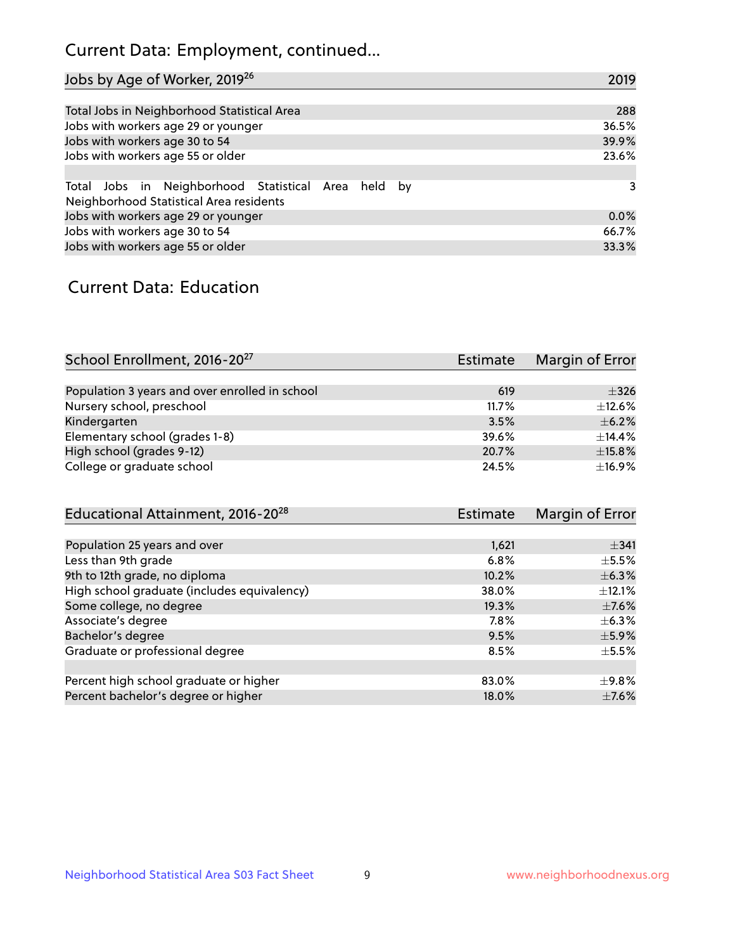# Current Data: Employment, continued...

| Jobs by Age of Worker, 2019 <sup>26</sup>                                                      | 2019  |
|------------------------------------------------------------------------------------------------|-------|
|                                                                                                |       |
| Total Jobs in Neighborhood Statistical Area                                                    | 288   |
| Jobs with workers age 29 or younger                                                            | 36.5% |
| Jobs with workers age 30 to 54                                                                 | 39.9% |
| Jobs with workers age 55 or older                                                              | 23.6% |
|                                                                                                |       |
| Total Jobs in Neighborhood Statistical Area held by<br>Neighborhood Statistical Area residents | 3     |
| Jobs with workers age 29 or younger                                                            | 0.0%  |
| Jobs with workers age 30 to 54                                                                 | 66.7% |
| Jobs with workers age 55 or older                                                              | 33.3% |

### Current Data: Education

| School Enrollment, 2016-20 <sup>27</sup>       | Estimate | Margin of Error |
|------------------------------------------------|----------|-----------------|
|                                                |          |                 |
| Population 3 years and over enrolled in school | 619      | $\pm$ 326       |
| Nursery school, preschool                      | 11.7%    | $\pm$ 12.6%     |
| Kindergarten                                   | 3.5%     | $\pm$ 6.2%      |
| Elementary school (grades 1-8)                 | 39.6%    | $\pm$ 14.4%     |
| High school (grades 9-12)                      | 20.7%    | ±15.8%          |
| College or graduate school                     | 24.5%    | ±16.9%          |

| Educational Attainment, 2016-20 <sup>28</sup> | <b>Estimate</b> | Margin of Error |
|-----------------------------------------------|-----------------|-----------------|
|                                               |                 |                 |
| Population 25 years and over                  | 1,621           | $\pm$ 341       |
|                                               | 6.8%            | $\pm$ 5.5%      |
| 9th to 12th grade, no diploma                 | 10.2%           | $\pm$ 6.3%      |
| High school graduate (includes equivalency)   | 38.0%           | $\pm$ 12.1%     |
| Some college, no degree                       | 19.3%           | $\pm$ 7.6%      |
|                                               | 7.8%            | $\pm$ 6.3%      |
|                                               | 9.5%            | $\pm$ 5.9%      |
| Graduate or professional degree               | 8.5%            | $\pm$ 5.5%      |
|                                               |                 |                 |
| Percent high school graduate or higher        | 83.0%           | $\pm$ 9.8%      |
| Percent bachelor's degree or higher           | 18.0%           | $\pm$ 7.6%      |
|                                               |                 |                 |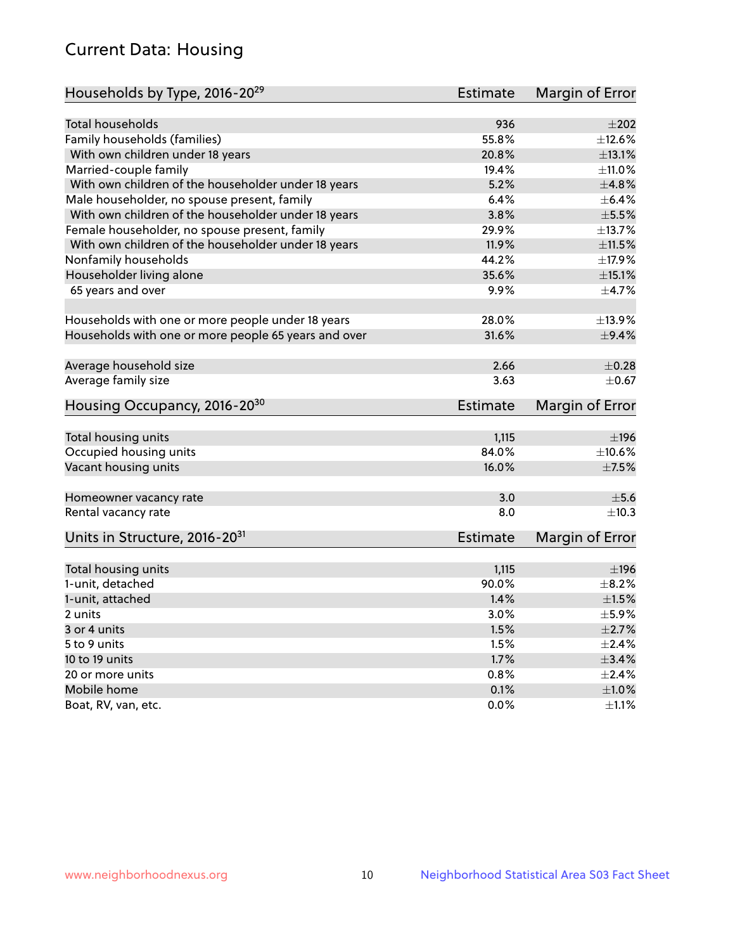# Current Data: Housing

| Households by Type, 2016-20 <sup>29</sup>            | <b>Estimate</b> | Margin of Error |
|------------------------------------------------------|-----------------|-----------------|
|                                                      |                 |                 |
| Total households                                     | 936             | $\pm 202$       |
| Family households (families)                         | 55.8%           | ±12.6%          |
| With own children under 18 years                     | 20.8%           | ±13.1%          |
| Married-couple family                                | 19.4%           | $\pm$ 11.0%     |
| With own children of the householder under 18 years  | 5.2%            | ±4.8%           |
| Male householder, no spouse present, family          | 6.4%            | $\pm$ 6.4%      |
| With own children of the householder under 18 years  | 3.8%            | $\pm$ 5.5%      |
| Female householder, no spouse present, family        | 29.9%           | ±13.7%          |
| With own children of the householder under 18 years  | 11.9%           | $\pm 11.5\%$    |
| Nonfamily households                                 | 44.2%           | ±17.9%          |
| Householder living alone                             | 35.6%           | $\pm$ 15.1%     |
| 65 years and over                                    | $9.9\%$         | ±4.7%           |
|                                                      |                 |                 |
| Households with one or more people under 18 years    | 28.0%           | ±13.9%          |
| Households with one or more people 65 years and over | 31.6%           | $\pm$ 9.4%      |
| Average household size                               | 2.66            | $\pm$ 0.28      |
| Average family size                                  | 3.63            | $\pm$ 0.67      |
| Housing Occupancy, 2016-20 <sup>30</sup>             | <b>Estimate</b> | Margin of Error |
|                                                      |                 |                 |
| Total housing units                                  | 1,115           | ±196            |
| Occupied housing units                               | 84.0%           | $\pm$ 10.6%     |
| Vacant housing units                                 | 16.0%           | $\pm$ 7.5%      |
| Homeowner vacancy rate                               | 3.0             | $\pm$ 5.6       |
| Rental vacancy rate                                  | 8.0             | $\pm$ 10.3      |
|                                                      |                 |                 |
| Units in Structure, 2016-20 <sup>31</sup>            | Estimate        | Margin of Error |
| Total housing units                                  | 1,115           | $\pm$ 196       |
| 1-unit, detached                                     | 90.0%           | $\pm$ 8.2%      |
| 1-unit, attached                                     | 1.4%            | $\pm1.5\%$      |
| 2 units                                              | $3.0\%$         | $\pm$ 5.9%      |
| 3 or 4 units                                         | 1.5%            | $\pm 2.7\%$     |
| 5 to 9 units                                         | 1.5%            | $\pm 2.4\%$     |
| 10 to 19 units                                       | 1.7%            | $\pm$ 3.4%      |
| 20 or more units                                     | 0.8%            | $\pm 2.4\%$     |
| Mobile home                                          | 0.1%            | $\pm 1.0\%$     |
| Boat, RV, van, etc.                                  | $0.0\%$         | $\pm 1.1\%$     |
|                                                      |                 |                 |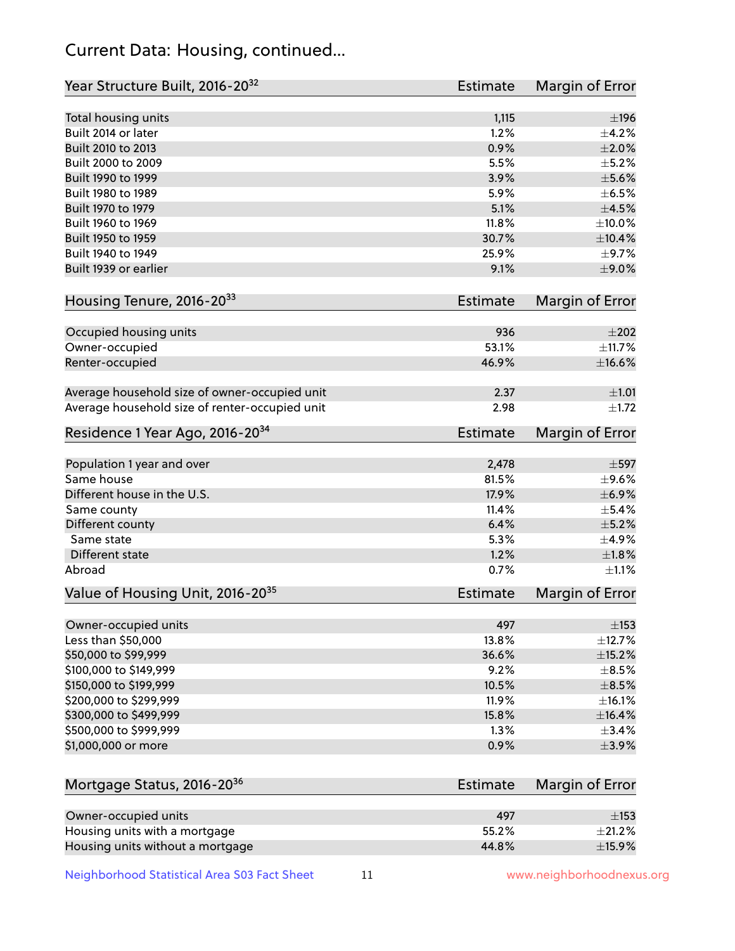# Current Data: Housing, continued...

| Year Structure Built, 2016-20 <sup>32</sup>    | <b>Estimate</b> | <b>Margin of Error</b> |
|------------------------------------------------|-----------------|------------------------|
| Total housing units                            | 1,115           | ±196                   |
| Built 2014 or later                            | 1.2%            | ±4.2%                  |
| Built 2010 to 2013                             | 0.9%            | $\pm 2.0\%$            |
| Built 2000 to 2009                             | 5.5%            | $\pm$ 5.2%             |
| Built 1990 to 1999                             | 3.9%            | $\pm$ 5.6%             |
| Built 1980 to 1989                             | 5.9%            | $\pm$ 6.5%             |
| Built 1970 to 1979                             | 5.1%            | $\pm$ 4.5%             |
| Built 1960 to 1969                             | 11.8%           | $\pm 10.0\%$           |
| Built 1950 to 1959                             | 30.7%           | ±10.4%                 |
| Built 1940 to 1949                             | 25.9%           | $\pm$ 9.7%             |
| Built 1939 or earlier                          | 9.1%            | $\pm$ 9.0%             |
| Housing Tenure, 2016-2033                      | Estimate        | <b>Margin of Error</b> |
| Occupied housing units                         | 936             | $\pm 202$              |
| Owner-occupied                                 | 53.1%           | ±11.7%                 |
| Renter-occupied                                | 46.9%           | $\pm$ 16.6%            |
| Average household size of owner-occupied unit  | 2.37            | ±1.01                  |
| Average household size of renter-occupied unit | 2.98            | $\pm 1.72$             |
| Residence 1 Year Ago, 2016-20 <sup>34</sup>    | Estimate        | <b>Margin of Error</b> |
| Population 1 year and over                     | 2,478           | $\pm$ 597              |
| Same house                                     | 81.5%           | $\pm$ 9.6%             |
| Different house in the U.S.                    | 17.9%           | ±6.9%                  |
| Same county                                    | 11.4%           | $\pm$ 5.4%             |
| Different county                               | 6.4%            | $\pm$ 5.2%             |
| Same state                                     | 5.3%            | $\pm$ 4.9%             |
| Different state                                | 1.2%            | ±1.8%                  |
| Abroad                                         | 0.7%            | $\pm 1.1\%$            |
| Value of Housing Unit, 2016-20 <sup>35</sup>   | <b>Estimate</b> | Margin of Error        |
| Owner-occupied units                           | 497             | $\pm$ 153              |
| Less than \$50,000                             | 13.8%           | ±12.7%                 |
| \$50,000 to \$99,999                           | 36.6%           | $\pm$ 15.2%            |
| \$100,000 to \$149,999                         | 9.2%            | $\pm$ 8.5%             |
| \$150,000 to \$199,999                         | 10.5%           | $\pm$ 8.5%             |
| \$200,000 to \$299,999                         | 11.9%           | ±16.1%                 |
| \$300,000 to \$499,999                         | 15.8%           | ±16.4%                 |
| \$500,000 to \$999,999                         | 1.3%            | $\pm$ 3.4%             |
| \$1,000,000 or more                            | 0.9%            | $\pm$ 3.9%             |
| Mortgage Status, 2016-20 <sup>36</sup>         | <b>Estimate</b> | Margin of Error        |
| Owner-occupied units                           | 497             | $\pm$ 153              |
| Housing units with a mortgage                  | 55.2%           | ±21.2%                 |

Neighborhood Statistical Area S03 Fact Sheet 11 11 www.neighborhoodnexus.org

Housing units without a mortgage  $\pm 15.9\%$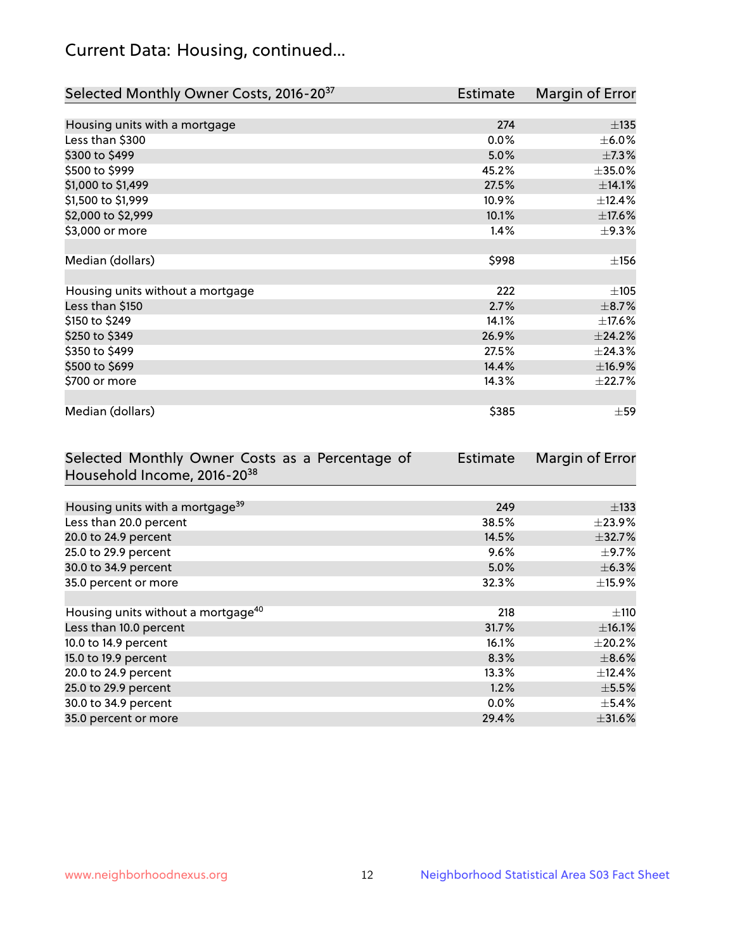# Current Data: Housing, continued...

| Selected Monthly Owner Costs, 2016-20 <sup>37</sup> | Estimate | Margin of Error |
|-----------------------------------------------------|----------|-----------------|
|                                                     |          |                 |
| Housing units with a mortgage                       | 274      | ±135            |
| Less than \$300                                     | 0.0%     | $\pm$ 6.0%      |
| \$300 to \$499                                      | 5.0%     | $\pm$ 7.3%      |
| \$500 to \$999                                      | 45.2%    | $\pm$ 35.0%     |
| \$1,000 to \$1,499                                  | 27.5%    | ±14.1%          |
| \$1,500 to \$1,999                                  | 10.9%    | ±12.4%          |
| \$2,000 to \$2,999                                  | 10.1%    | $\pm$ 17.6%     |
| \$3,000 or more                                     | 1.4%     | $\pm$ 9.3%      |
|                                                     |          |                 |
| Median (dollars)                                    | \$998    | $\pm$ 156       |
|                                                     |          |                 |
| Housing units without a mortgage                    | 222      | $\pm 105$       |
| Less than \$150                                     | 2.7%     | $\pm$ 8.7%      |
| \$150 to \$249                                      | 14.1%    | ±17.6%          |
| \$250 to \$349                                      | 26.9%    | ±24.2%          |
| \$350 to \$499                                      | 27.5%    | ±24.3%          |
| \$500 to \$699                                      | 14.4%    | ±16.9%          |
| \$700 or more                                       | 14.3%    | ±22.7%          |
|                                                     |          |                 |
| Median (dollars)                                    | \$385    | $\pm$ 59        |

| Selected Monthly Owner Costs as a Percentage of | <b>Estimate</b> | Margin of Error |
|-------------------------------------------------|-----------------|-----------------|
| Household Income, 2016-20 <sup>38</sup>         |                 |                 |
|                                                 |                 |                 |
| Housing units with a mortgage <sup>39</sup>     | 249             | $\pm$ 133       |
| Less than 20.0 percent                          | 38.5%           | $\pm$ 23.9%     |
| 20.0 to 24.9 percent                            | 14.5%           | $\pm$ 32.7%     |
| 25.0 to 29.9 percent                            | 9.6%            | $\pm$ 9.7%      |
| 30.0 to 34.9 percent                            | 5.0%            | $\pm$ 6.3%      |
| 35.0 percent or more                            | 32.3%           | $\pm$ 15.9%     |
|                                                 |                 |                 |
| Housing units without a mortgage <sup>40</sup>  | 218             | $\pm$ 110       |
| Less than 10.0 percent                          | 31.7%           | $\pm$ 16.1%     |
| 10.0 to 14.9 percent                            | 16.1%           | $\pm 20.2\%$    |
| 15.0 to 19.9 percent                            | 8.3%            | $\pm$ 8.6%      |
| 20.0 to 24.9 percent                            | 13.3%           | $\pm$ 12.4%     |
| 25.0 to 29.9 percent                            | 1.2%            | $\pm$ 5.5%      |
| 30.0 to 34.9 percent                            | $0.0\%$         | $\pm$ 5.4%      |
| 35.0 percent or more                            | 29.4%           | $\pm$ 31.6%     |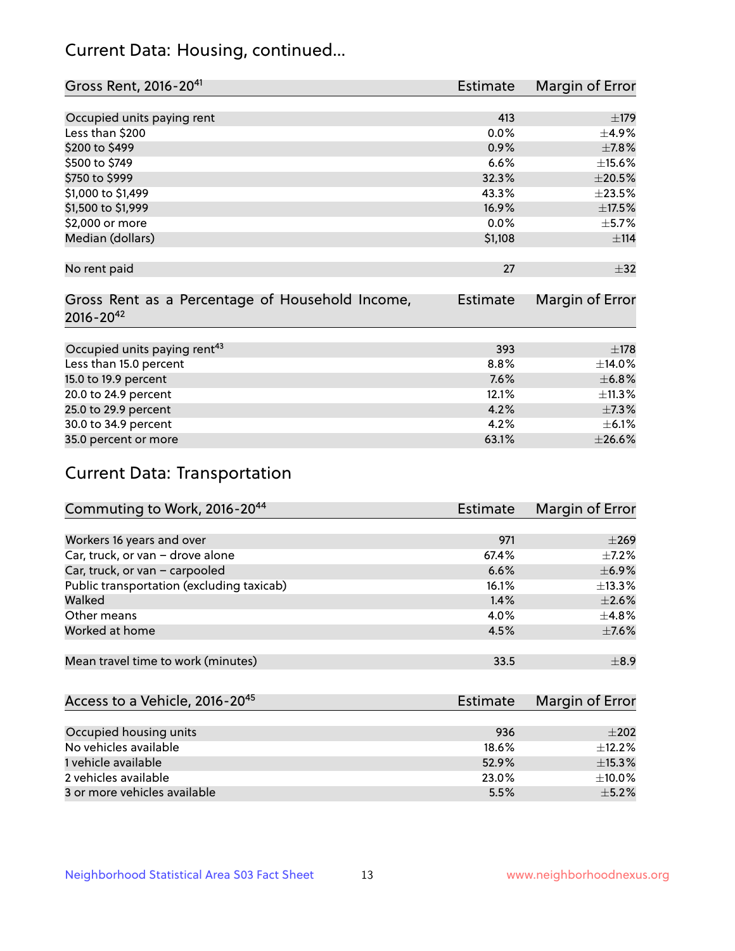# Current Data: Housing, continued...

| Gross Rent, 2016-20 <sup>41</sup>               | <b>Estimate</b> | Margin of Error |
|-------------------------------------------------|-----------------|-----------------|
|                                                 |                 |                 |
| Occupied units paying rent                      | 413             | ±179            |
| Less than \$200                                 | 0.0%            | ±4.9%           |
| \$200 to \$499                                  | 0.9%            | $\pm$ 7.8%      |
| \$500 to \$749                                  | 6.6%            | $\pm$ 15.6%     |
| \$750 to \$999                                  | 32.3%           | $\pm 20.5\%$    |
| \$1,000 to \$1,499                              | 43.3%           | ±23.5%          |
| \$1,500 to \$1,999                              | 16.9%           | ±17.5%          |
| \$2,000 or more                                 | $0.0\%$         | $\pm$ 5.7%      |
| Median (dollars)                                | \$1,108         | $\pm$ 114       |
|                                                 |                 |                 |
| No rent paid                                    | 27              | $\pm$ 32        |
|                                                 |                 |                 |
| Gross Rent as a Percentage of Household Income, | Estimate        | Margin of Error |
| $2016 - 20^{42}$                                |                 |                 |
|                                                 |                 |                 |
| Occupied units paying rent <sup>43</sup>        | 393             | $\pm 178$       |
| Less than 15.0 percent                          | 8.8%            | ±14.0%          |
| 15.0 to 19.9 percent                            | 7.6%            | ±6.8%           |
| 20.0 to 24.9 percent                            | 12.1%           | ±11.3%          |
| 25.0 to 29.9 percent                            | 4.2%            | $\pm$ 7.3%      |
| 30.0 to 34.9 percent                            | 4.2%            | $\pm$ 6.1%      |
| 35.0 percent or more                            | 63.1%           | ±26.6%          |

# Current Data: Transportation

| Commuting to Work, 2016-20 <sup>44</sup>  | Estimate | Margin of Error |
|-------------------------------------------|----------|-----------------|
|                                           |          |                 |
| Workers 16 years and over                 | 971      | $\pm 269$       |
| Car, truck, or van - drove alone          | 67.4%    | $\pm$ 7.2%      |
| Car, truck, or van - carpooled            | 6.6%     | $\pm$ 6.9%      |
| Public transportation (excluding taxicab) | 16.1%    | $\pm$ 13.3%     |
| Walked                                    | 1.4%     | $\pm 2.6\%$     |
| Other means                               | 4.0%     | $\pm$ 4.8%      |
| Worked at home                            | 4.5%     | $\pm$ 7.6%      |
|                                           |          |                 |
| Mean travel time to work (minutes)        | 33.5     | $\pm$ 8.9       |

| Access to a Vehicle, 2016-20 <sup>45</sup> | Estimate | Margin of Error |
|--------------------------------------------|----------|-----------------|
|                                            |          |                 |
| Occupied housing units                     | 936      | $\pm 202$       |
| No vehicles available                      | 18.6%    | $+12.2%$        |
| 1 vehicle available                        | 52.9%    | ±15.3%          |
| 2 vehicles available                       | 23.0%    | $+10.0%$        |
| 3 or more vehicles available               | 5.5%     | $+5.2%$         |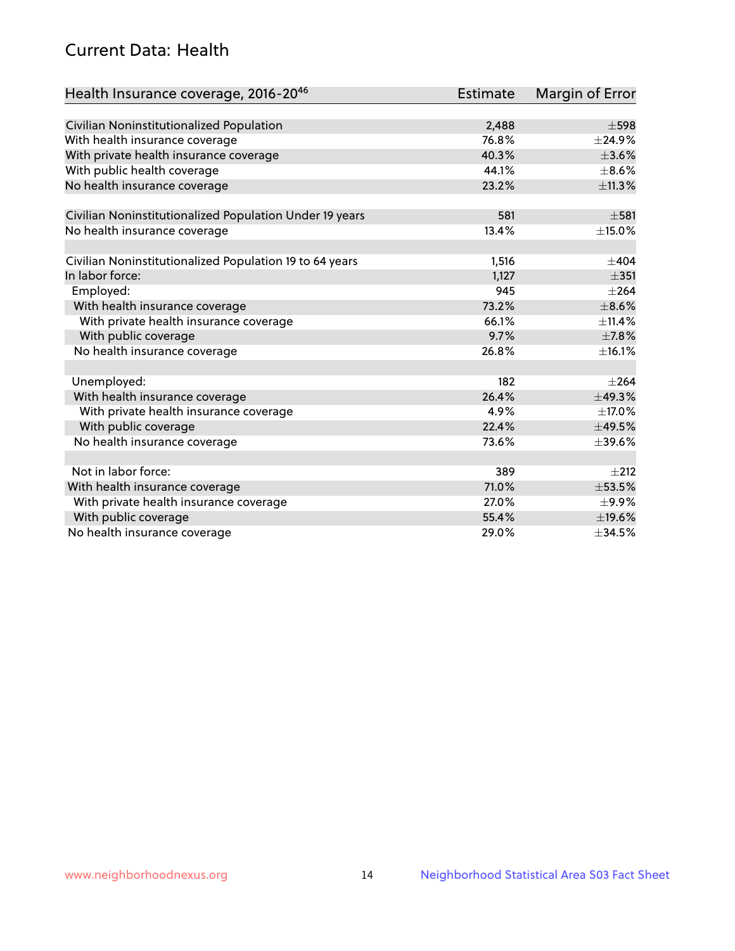# Current Data: Health

| Health Insurance coverage, 2016-2046                    | <b>Estimate</b> | Margin of Error |
|---------------------------------------------------------|-----------------|-----------------|
|                                                         |                 |                 |
| Civilian Noninstitutionalized Population                | 2,488           | $\pm$ 598       |
| With health insurance coverage                          | 76.8%           | ±24.9%          |
| With private health insurance coverage                  | 40.3%           | $\pm 3.6\%$     |
| With public health coverage                             | 44.1%           | $\pm$ 8.6%      |
| No health insurance coverage                            | 23.2%           | ±11.3%          |
|                                                         |                 |                 |
| Civilian Noninstitutionalized Population Under 19 years | 581             | $\pm$ 581       |
| No health insurance coverage                            | 13.4%           | ±15.0%          |
|                                                         |                 |                 |
| Civilian Noninstitutionalized Population 19 to 64 years | 1,516           | $\pm$ 404       |
| In labor force:                                         | 1,127           | $\pm$ 351       |
| Employed:                                               | 945             | $\pm 264$       |
| With health insurance coverage                          | 73.2%           | $\pm$ 8.6%      |
| With private health insurance coverage                  | 66.1%           | $\pm$ 11.4%     |
| With public coverage                                    | 9.7%            | $\pm$ 7.8%      |
| No health insurance coverage                            | 26.8%           | ±16.1%          |
|                                                         |                 |                 |
| Unemployed:                                             | 182             | $\pm 264$       |
| With health insurance coverage                          | 26.4%           | ±49.3%          |
| With private health insurance coverage                  | 4.9%            | $\pm$ 17.0%     |
| With public coverage                                    | 22.4%           | ±49.5%          |
| No health insurance coverage                            | 73.6%           | $\pm$ 39.6%     |
|                                                         |                 |                 |
| Not in labor force:                                     | 389             | $\pm 212$       |
| With health insurance coverage                          | 71.0%           | $\pm$ 53.5%     |
| With private health insurance coverage                  | 27.0%           | $\pm$ 9.9%      |
| With public coverage                                    | 55.4%           | ±19.6%          |
| No health insurance coverage                            | 29.0%           | ±34.5%          |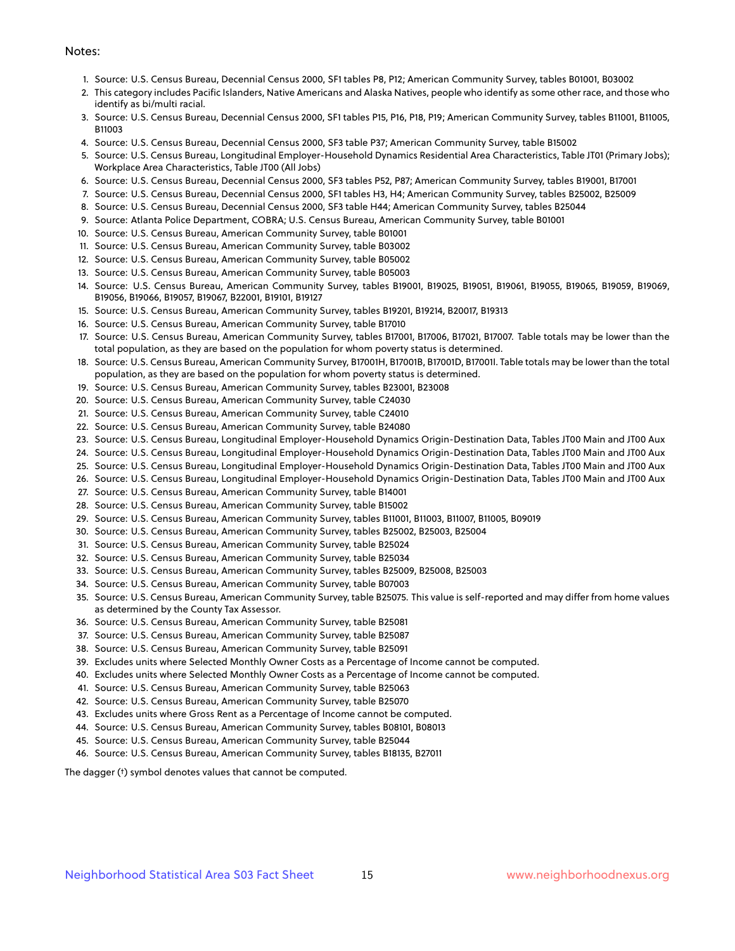#### Notes:

- 1. Source: U.S. Census Bureau, Decennial Census 2000, SF1 tables P8, P12; American Community Survey, tables B01001, B03002
- 2. This category includes Pacific Islanders, Native Americans and Alaska Natives, people who identify as some other race, and those who identify as bi/multi racial.
- 3. Source: U.S. Census Bureau, Decennial Census 2000, SF1 tables P15, P16, P18, P19; American Community Survey, tables B11001, B11005, B11003
- 4. Source: U.S. Census Bureau, Decennial Census 2000, SF3 table P37; American Community Survey, table B15002
- 5. Source: U.S. Census Bureau, Longitudinal Employer-Household Dynamics Residential Area Characteristics, Table JT01 (Primary Jobs); Workplace Area Characteristics, Table JT00 (All Jobs)
- 6. Source: U.S. Census Bureau, Decennial Census 2000, SF3 tables P52, P87; American Community Survey, tables B19001, B17001
- 7. Source: U.S. Census Bureau, Decennial Census 2000, SF1 tables H3, H4; American Community Survey, tables B25002, B25009
- 8. Source: U.S. Census Bureau, Decennial Census 2000, SF3 table H44; American Community Survey, tables B25044
- 9. Source: Atlanta Police Department, COBRA; U.S. Census Bureau, American Community Survey, table B01001
- 10. Source: U.S. Census Bureau, American Community Survey, table B01001
- 11. Source: U.S. Census Bureau, American Community Survey, table B03002
- 12. Source: U.S. Census Bureau, American Community Survey, table B05002
- 13. Source: U.S. Census Bureau, American Community Survey, table B05003
- 14. Source: U.S. Census Bureau, American Community Survey, tables B19001, B19025, B19051, B19061, B19055, B19065, B19059, B19069, B19056, B19066, B19057, B19067, B22001, B19101, B19127
- 15. Source: U.S. Census Bureau, American Community Survey, tables B19201, B19214, B20017, B19313
- 16. Source: U.S. Census Bureau, American Community Survey, table B17010
- 17. Source: U.S. Census Bureau, American Community Survey, tables B17001, B17006, B17021, B17007. Table totals may be lower than the total population, as they are based on the population for whom poverty status is determined.
- 18. Source: U.S. Census Bureau, American Community Survey, B17001H, B17001B, B17001D, B17001I. Table totals may be lower than the total population, as they are based on the population for whom poverty status is determined.
- 19. Source: U.S. Census Bureau, American Community Survey, tables B23001, B23008
- 20. Source: U.S. Census Bureau, American Community Survey, table C24030
- 21. Source: U.S. Census Bureau, American Community Survey, table C24010
- 22. Source: U.S. Census Bureau, American Community Survey, table B24080
- 23. Source: U.S. Census Bureau, Longitudinal Employer-Household Dynamics Origin-Destination Data, Tables JT00 Main and JT00 Aux
- 24. Source: U.S. Census Bureau, Longitudinal Employer-Household Dynamics Origin-Destination Data, Tables JT00 Main and JT00 Aux
- 25. Source: U.S. Census Bureau, Longitudinal Employer-Household Dynamics Origin-Destination Data, Tables JT00 Main and JT00 Aux
- 26. Source: U.S. Census Bureau, Longitudinal Employer-Household Dynamics Origin-Destination Data, Tables JT00 Main and JT00 Aux
- 27. Source: U.S. Census Bureau, American Community Survey, table B14001
- 28. Source: U.S. Census Bureau, American Community Survey, table B15002
- 29. Source: U.S. Census Bureau, American Community Survey, tables B11001, B11003, B11007, B11005, B09019
- 30. Source: U.S. Census Bureau, American Community Survey, tables B25002, B25003, B25004
- 31. Source: U.S. Census Bureau, American Community Survey, table B25024
- 32. Source: U.S. Census Bureau, American Community Survey, table B25034
- 33. Source: U.S. Census Bureau, American Community Survey, tables B25009, B25008, B25003
- 34. Source: U.S. Census Bureau, American Community Survey, table B07003
- 35. Source: U.S. Census Bureau, American Community Survey, table B25075. This value is self-reported and may differ from home values as determined by the County Tax Assessor.
- 36. Source: U.S. Census Bureau, American Community Survey, table B25081
- 37. Source: U.S. Census Bureau, American Community Survey, table B25087
- 38. Source: U.S. Census Bureau, American Community Survey, table B25091
- 39. Excludes units where Selected Monthly Owner Costs as a Percentage of Income cannot be computed.
- 40. Excludes units where Selected Monthly Owner Costs as a Percentage of Income cannot be computed.
- 41. Source: U.S. Census Bureau, American Community Survey, table B25063
- 42. Source: U.S. Census Bureau, American Community Survey, table B25070
- 43. Excludes units where Gross Rent as a Percentage of Income cannot be computed.
- 44. Source: U.S. Census Bureau, American Community Survey, tables B08101, B08013
- 45. Source: U.S. Census Bureau, American Community Survey, table B25044
- 46. Source: U.S. Census Bureau, American Community Survey, tables B18135, B27011

The dagger (†) symbol denotes values that cannot be computed.